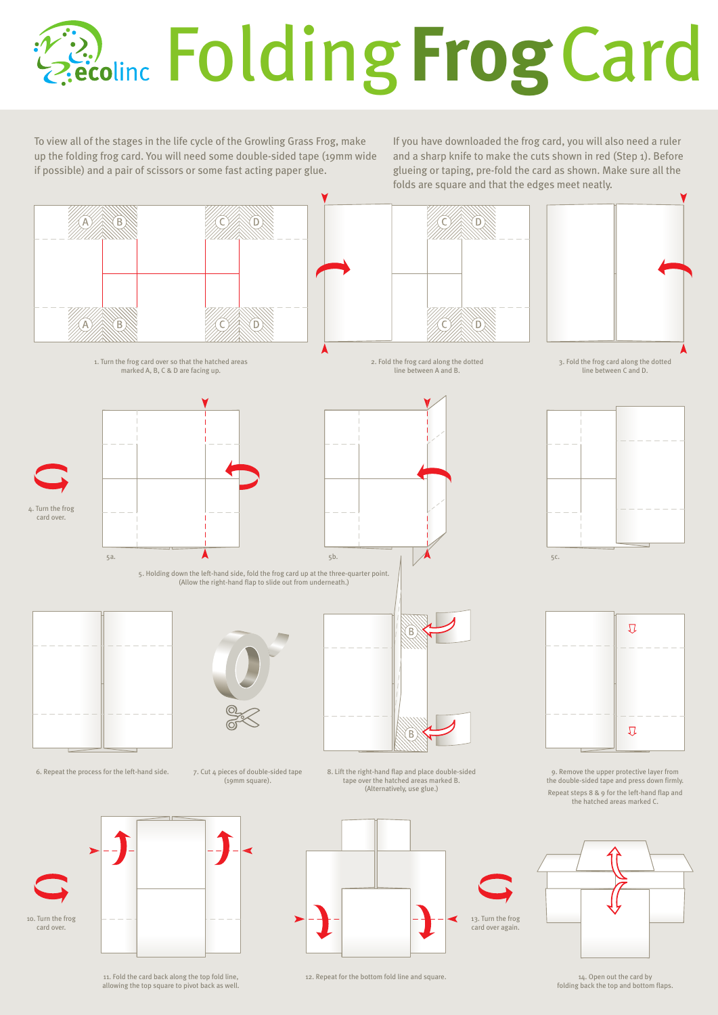## **Example Folding Frog Card**

To view all of the stages in the life cycle of the Growling Grass Frog, make up the folding frog card. You will need some double-sided tape (19mm wide if possible) and a pair of scissors or some fast acting paper glue.

If you have downloaded the frog card, you will also need a ruler and a sharp knife to make the cuts shown in red (Step 1). Before glueing or taping, pre-fold the card as shown. Make sure all the folds are square and that the edges meet neatly.



11. Fold the card back along the top fold line, allowing the top square to pivot back as well. 12. Repeat for the bottom fold line and square

14. Open out the card by<br>folding back the top and bottom flaps.